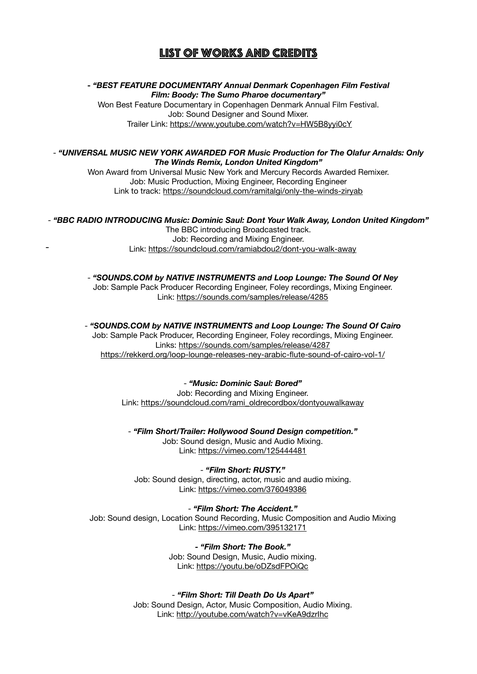# List of works and credits

**-** *"BEST FEATURE DOCUMENTARY Annual Denmark Copenhagen Film Festival Film: Boody: The Sumo Pharoe documentary"*

Won Best Feature Documentary in Copenhagen Denmark Annual Film Festival. Job: Sound Designer and Sound Mixer. Trailer Link:<https://www.youtube.com/watch?v=HW5B8yyi0cY>

## - *"UNIVERSAL MUSIC NEW YORK AWARDED FOR Music Production for The Olafur Arnalds: Only The Winds Remix, London United Kingdom"*

Won Award from Universal Music New York and Mercury Records Awarded Remixer. Job: Music Production, Mixing Engineer, Recording Engineer Link to track:<https://soundcloud.com/ramitalgi/only-the-winds-ziryab>

- *"BBC RADIO INTRODUCING Music: Dominic Saul: Dont Your Walk Away, London United Kingdom"* The BBC introducing Broadcasted track. Job: Recording and Mixing Engineer. - Link:<https://soundcloud.com/ramiabdou2/dont-you-walk-away>

> - *"[SOUNDS.COM](http://SOUNDS.COM) by NATIVE INSTRUMENTS and Loop Lounge: The Sound Of Ney*  Job: Sample Pack Producer Recording Engineer, Foley recordings, Mixing Engineer. Link: <https://sounds.com/samples/release/4285>

> - *["SOUNDS.COM](http://SOUNDS.COM) by NATIVE INSTRUMENTS and Loop Lounge: The Sound Of Cairo*  Job: Sample Pack Producer, Recording Engineer, Foley recordings, Mixing Engineer. Links:<https://sounds.com/samples/release/4287> <https://rekkerd.org/loop-lounge-releases-ney-arabic-flute-sound-of-cairo-vol-1/>

## - *"Music: Dominic Saul: Bored"*

Job: Recording and Mixing Engineer. Link: [https://soundcloud.com/rami\\_oldrecordbox/dontyouwalkaway](https://soundcloud.com/rami_oldrecordbox/dontyouwalkaway)

- *"Film Short/Trailer: Hollywood Sound Design competition."*

Job: Sound design, Music and Audio Mixing. Link: <https://vimeo.com/125444481>

- *"Film Short: RUSTY."* Job: Sound design, directing, actor, music and audio mixing.

Link: <https://vimeo.com/376049386>

- *"Film Short: The Accident."*

Job: Sound design, Location Sound Recording, Music Composition and Audio Mixing Link: <https://vimeo.com/395132171>

> *- "Film Short: The Book."* Job: Sound Design, Music, Audio mixing. Link:<https://youtu.be/oDZsdFPOiQc>

- *"Film Short: Till Death Do Us Apart"*

Job: Sound Design, Actor, Music Composition, Audio Mixing. Link:<http://youtube.com/watch?v=vKeA9dzrIhc>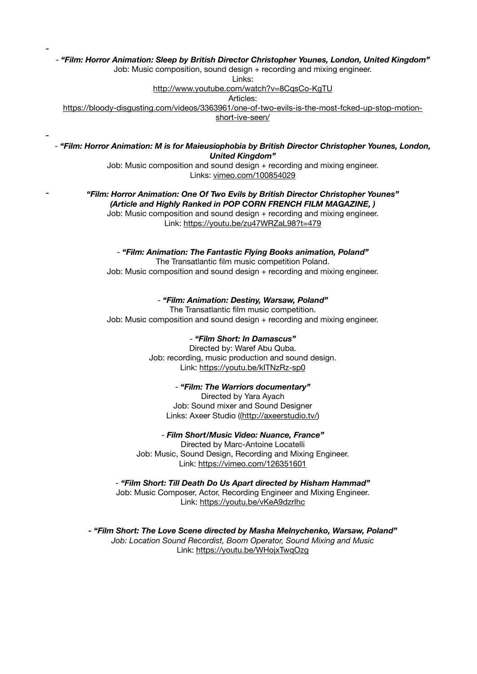- *"Film: Horror Animation: Sleep by British Director Christopher Younes, London, United Kingdom"*

Job: Music composition, sound design + recording and mixing engineer.

-

-

Links:

<http://www.youtube.com/watch?v=8CqsCo-KgTU>

Articles:

[https://bloody-disgusting.com/videos/3363961/one-of-two-evils-is-the-most-fcked-up-stop-motion](https://bloody-disgusting.com/videos/3363961/one-of-two-evils-is-the-most-fcked-up-stop-motion-short-ive-seen/)[short-ive-seen/](https://bloody-disgusting.com/videos/3363961/one-of-two-evils-is-the-most-fcked-up-stop-motion-short-ive-seen/)

- *"Film: Horror Animation: M is for Maieusiophobia by British Director Christopher Younes, London, United Kingdom"*

> Job: Music composition and sound design + recording and mixing engineer. Links: [vimeo.com/100854029](http://vimeo.com/100854029)

#### - *"Film: Horror Animation: One Of Two Evils by British Director Christopher Younes" (Article and Highly Ranked in POP CORN FRENCH FILM MAGAZINE, )*

Job: Music composition and sound design + recording and mixing engineer. Link:<https://youtu.be/zu47WRZaL98?t=479>

- *"Film: Animation: The Fantastic Flying Books animation, Poland"*  The Transatlantic film music competition Poland.

Job: Music composition and sound design + recording and mixing engineer.

#### - *"Film: Animation: Destiny, Warsaw, Poland"*

The Transatlantic film music competition. Job: Music composition and sound design + recording and mixing engineer.

#### - *"Film Short: In Damascus"*

Directed by: Waref Abu Quba. Job: recording, music production and sound design. Link:<https://youtu.be/kITNzRz-sp0>

#### - *"Film: The Warriors documentary"*

Directed by Yara Ayach Job: Sound mixer and Sound Designer Links: Axeer Studio ([\(http://axeerstudio.tv/\)](http://axeerstudio.tv/)

- *Film Short/Music Video: Nuance, France"*

Directed by Marc-Antoine Locatelli Job: Music, Sound Design, Recording and Mixing Engineer. Link: <https://vimeo.com/126351601>

- *"Film Short: Till Death Do Us Apart directed by Hisham Hammad"* Job: Music Composer, Actor, Recording Engineer and Mixing Engineer.

Link: <https://youtu.be/vKeA9dzrIhc>

*- "Film Short: The Love Scene directed by [Masha Melnychenko,](https://www.facebook.com/melnychenko1) Warsaw, Poland" Job: Location Sound Recordist, Boom Operator, Sound Mixing and Music* Link: <https://youtu.be/WHojxTwqOzg>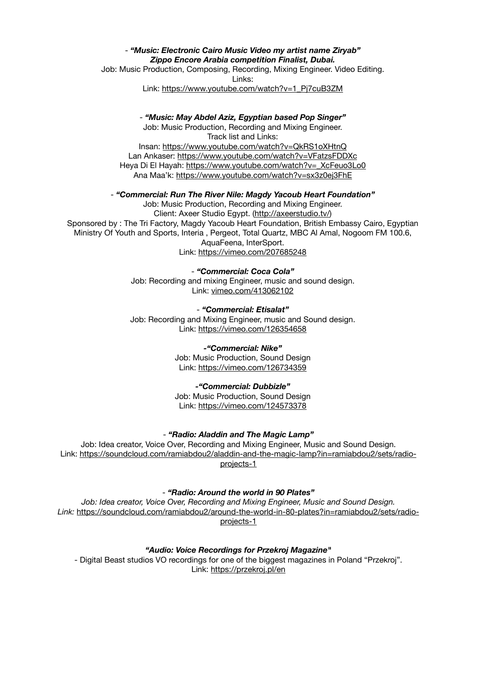## - *"Music: Electronic Cairo Music Video my artist name Ziryab" Zippo Encore Arabia competition Finalist, Dubai.*

Job: Music Production, Composing, Recording, Mixing Engineer. Video Editing. Links:

Link: [https://www.youtube.com/watch?v=1\\_Pj7cuB3ZM](https://www.youtube.com/watch?v=1_Pj7cuB3ZM)

## - *"Music: May Abdel Aziz, Egyptian based Pop Singer"*

Job: Music Production, Recording and Mixing Engineer. Track list and Links: Insan: <https://www.youtube.com/watch?v=QkRS1oXHtnQ> Lan Ankaser: <https://www.youtube.com/watch?v=VFatzsFDDXc> Heya Di El Hayah: [https://www.youtube.com/watch?v=\\_XcFeuo3Lo0](https://www.youtube.com/watch?v=_XcFeuo3Lo0) Ana Maa'k: <https://www.youtube.com/watch?v=sx3z0ej3FhE>

#### - *"Commercial: Run The River Nile: Magdy Yacoub Heart Foundation"*

Job: Music Production, Recording and Mixing Engineer. Client: Axeer Studio Egypt. ([http://axeerstudio.tv/\)](http://axeerstudio.tv/) Sponsored by : The Tri Factory, Magdy Yacoub Heart Foundation, British Embassy Cairo, Egyptian Ministry Of Youth and Sports, Interia , Pergeot, Total Quartz, MBC Al Amal, Nogoom FM 100.6, AquaFeena, InterSport. Link: <https://vimeo.com/207685248>

> - *"Commercial: Coca Cola"*  Job: Recording and mixing Engineer, music and sound design. Link: [vimeo.com/413062102](http://vimeo.com/413062102)

> - *"Commercial: Etisalat"* Job: Recording and Mixing Engineer, music and Sound design. Link: <https://vimeo.com/126354658>

#### *-"Commercial: Nike"*

Job: Music Production, Sound Design Link: <https://vimeo.com/126734359>

#### *-"Commercial: Dubbizle"*

Job: Music Production, Sound Design Link: <https://vimeo.com/124573378>

## - *"Radio: Aladdin and The Magic Lamp"*

Job: Idea creator, Voice Over, Recording and Mixing Engineer, Music and Sound Design. Link: [https://soundcloud.com/ramiabdou2/aladdin-and-the-magic-lamp?in=ramiabdou2/sets/radio](https://soundcloud.com/ramiabdou2/aladdin-and-the-magic-lamp?in=ramiabdou2/sets/radio-projects-1)[projects-1](https://soundcloud.com/ramiabdou2/aladdin-and-the-magic-lamp?in=ramiabdou2/sets/radio-projects-1)

#### - *"Radio: Around the world in 90 Plates"*

*Job: Idea creator, Voice Over, Recording and Mixing Engineer, Music and Sound Design. Link:* [https://soundcloud.com/ramiabdou2/around-the-world-in-80-plates?in=ramiabdou2/sets/radio](https://soundcloud.com/ramiabdou2/around-the-world-in-80-plates?in=ramiabdou2/sets/radio-projects-1)[projects-1](https://soundcloud.com/ramiabdou2/around-the-world-in-80-plates?in=ramiabdou2/sets/radio-projects-1)

*"Audio: Voice Recordings for Przekroj Magazine"*

- Digital Beast studios VO recordings for one of the biggest magazines in Poland "Przekroj". Link:<https://przekroj.pl/en>